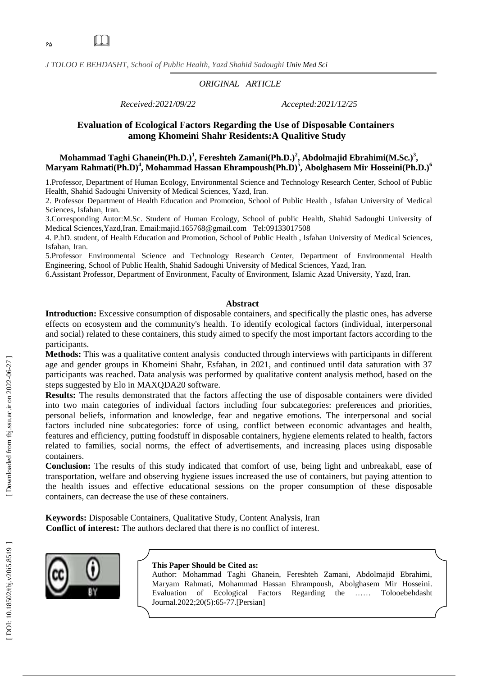$\Box$ 

*J TOLOO E BEHDASHT, School of Public Health , Yazd Shahid Sadoughi Univ Med Sci*

## *ORIGINAL ARTICLE*

*Received:2021/09/22 Accepted:2021/12/25*

## **Evaluation of Ecological Factors Regarding the Use of Disposable Containers among Khomeini Shahr Residents:A Qualitive Study**

## **Mohammad Taghi Ghanein(Ph .D.) 1 , Fereshteh Zamani(Ph .D.) 2 , Abdolmajid Ebrahimi(M.Sc.) 3 , Maryam Rahmati(Ph .D) 4 , Mohammad Hassan Ehrampo ush(Ph .D) 5 , Abolghasem Mir Hosseini(Ph .D.) 6**

1.Professor, Department of Human Ecology, Environmental Science and Technology Research Center, School of Public Health, Shahid Sadoughi University of Medical Sciences, Yazd, Iran.

2. Professor Department of Health Education and Promotion, School of Public Health , Isfahan University of Medical Sciences, Isfahan, Iran.

3.Corresponding Autor:M.Sc. Student of Human Ecology, School of public Health, Shahid Sadoughi University of Medical Sciences,Yazd,Iran. Email[:majid.165768@gmail.com](mailto:majid.165768@gmail.com) Tel:09133017508

4. P.hD. student, of Health Education and Promotion, School of Public Health , Isfahan University of Medical Sciences, Isfahan, Iran.

5.Professor Environmental Science and Technology Research Center, Department of Environmental Health Engineering, School of Public Health, Shahid Sadoughi University of Medical Sciences, Yazd, Iran.

6.Assistant Professor, Department of Environment, Faculty of Environment, Islamic Azad University, Yazd, Iran.

#### **Abstract**

**Introduction:** Excessive consumption of disposable containers, and specifically the plastic ones, has adverse effects on ecosystem and the community's health. To identify ecological factors (individual, interpersonal and social) related to these containers, this study aimed to specify the most important factors according to the participants.

**Methods:** This was a qualitative content analysis conducted through interviews with participants in different age and gender groups in Khomeini Shahr, Esfahan, in 2021, and continued until data saturation with 37 participants was reached. Data analysis was performed by qualitative content analysis method, based on the steps suggested by Elo in MAXQDA20 software.

**Results:** The results demonstrated that the factors affecting the use of disposable containers were divided into two main categories of individual factors including four subcategories: preferences and priorities, personal beliefs, information and knowledge, fear and negative emotions. The interpersonal and social factors included nine subcategories: force of using, conflict between economic advantages and health, features and efficiency, putting foodstuff in disposable containers, hygiene elements related to health, factors related to families, social norms, the effect of advertisements, and increasing places using disposable containers.

**Conclusion:** The results of this study indicated that comfort of use, being light and unbreakabl, ease of transportation, welfare and observing hygiene issues increased the use of containers, but paying attention to the health issues and effective educational sessions on the proper consumption of these disposable containers, can decrease the use of these containers.

**Keywords:** Disposable Containers, Qualitative Study, Content Analysis, Iran **Conflict of interest:** The authors declared that there is no conflict of interest.



#### **This Paper Should be Cited as:**

Author : Mohammad Taghi Ghanein, Fereshteh Zamani, Abdolmajid Ebrahimi, Maryam Rahmati, Mohammad Hassan Ehrampoush, Abolghasem Mir Hosseini . Evaluation of Ecological Factors Regarding the …… Tolooebehdasht Journal.2022;20(5):65-77.[Persian]

Downloaded from tbj.ssu.ac.ir on 2022-06-27]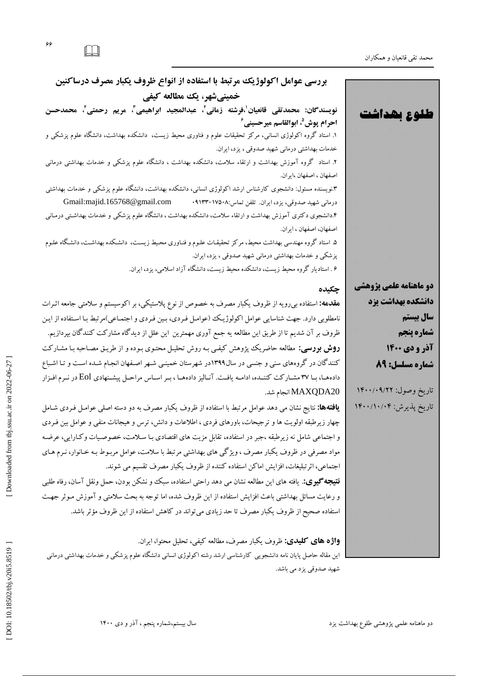محمد تقی قانعیان و همکاران

**بررسی عَاهل اکَلَژیک هرتبط با استفادُ از اًَاع ظرٍف یکبار هصرف درساکٌیي خویٌیشْر، یک هطالعِ کیفی** نویسندگان: محمدتقی قانعیان<sup>'</sup>،فرشته زمانی'، عبدالمجید ابراهیمی''، مریم رحمتی''، محمدحسن احرام پوش<sup>0</sup>، ابوالقاسم میرحسینی<sup>۶</sup> ۱. استاد کروه آ کولوژی انسانی، مر گز تحقیقات علوم و فناوری محیط زیست، دانشکله بهداشت، دانشگاه علوم پزشکی و خدمات بهداشتی درمانی شهید صدوقی ، یزد، ایران. ۲. استاد ً کروه آموزش بهداشت و ارتقاء سلامت، دانشکده بهداشت ، دانشکاه علوم پزشکی و خدمات بهداشتی درمانی اصفهان ، اصفهان ،ایران. i.فویسنده مسئول: دانشجوی کارشناس ارشد اکولوژی انسانی، دانشکده بهداشت، دانشگاه علوم پزشکی و خدمات بهداشتی درمانی شهید صدوقی، یزد، ایران. تلفن تماس:۰۹۱۳۳۰۱۷۵۰۸ Gmail:majid.165768@gmail.com .دانشجوی د کتری آموزش بهداشت و ارتقاء سلامت، دانشکده بهداشت ، دانشگاه علوم پزشکی و خدمات بهداشتی درمـانی اصفهان، اصفهان ، ایران. ۵. استاد گروه مهندسی بهداشت محیط، مركز تحقیقـات علـوم و فنـاوری محـیط زیسـت، دانشـكده بهداشـت، دانشـگاه علـوم پزشكی و خدمات بهداشتی درمانی شهید صدوقی ، یزد، ایران. ۶ . استادیار کروه محیط زیست، دانشکده محیط زیست، دانشکاه آزاد اسلامی، یزد، ایران. **طلوع بهداشت دو ماهنامه علمی پژوهشی دانشكده بهداشت يزد سال بیستم شماره پنجم آذر و دی 1400 شماره مسلسل: 89** تاریخ وصول: ۱۴۰۰/۰۹/۲۲ ناریخ پدیرش: ۱۴۰۰/۱۰/۰۴ **چکیدُ** <mark>هقدهه:</mark> استفاده بی رویه از ظروف یکبار مصرف به خصوص از نوع پلاستیکی، بر اکوسیستم و سلامتی جامعه اثـرات نامطلوبی دارد. جهت شناسایی عوامل اکولوژیک (عوامـل فـردی، بـین فـردی و اجتمـاعی)مرتبط بـا اسـتفاده از ایـن<br>ظروف بر آن شدیم تا از طریق این مطالعه یه جمع آوری مهمترین این علل از دیدگاه مشارکت کنندگان بپردازیم. **روش بررسی:** مطالعه حاضریک پژوهش کیفی بـه روش تحلیـل محتـوی بـوده و از طریـق مصـاحبه بـا مشـارکت کنند کان در کروههای سنی و جنسی در سال۱۳۹۹در شهرستان خمینـی شـهر اصـفهان انجـام شـده اسـت و تـا اشـباع دادهها، بـا ٣٧ مشـاركت كننـده، ادامـه يافـت. آنـاليز دادههـا ، بـر اسـاس مراحـل پيشـنهادي Eol در نـرم افـزار 20MAXQDA انحام شد. **یافتهها:** نتایج نشان می دهد عوامل مرتبط با استفاده از ظروف یکبار مصرف به دو دسته اصلی عوامـل فـردی شـامل چهار زیرطبقه اولویت ها و ترجیحات، باورهای فردی ، اطلاعات و دانش، ترس و هیجانات منفی و عوامل بین فـردی و اجتماعی شامل نه زیرطبقه ،جبر در استفاده، تقابل مزیت های اقتصادی بـا سـلامت، خصوصـیات وکـارایی، عرضـه مواد مصرفی در ظروف یکبار مصرف ، ویژگی های بهداشتی مرتبط با سلامت، عوامل مربـوط بـه خـانوار، نـرم هـای اجتماعی، اثرتبلیغات، افزایش اماکن استفاده کننده از ظروف یکبار مصرف تقسیم می شوند. **نتیجِه گیری:**. یافته های این مطالعه نشان می دهد راحتی استفاده، سبك و نشكن بودن، حمل ونقل آسان، رفاه طلبی و رعایت مسائل بهداشتی باعث افزایش استفاده از این ظروف شده، اما توجه به بحث سلامتی و آموزش مـو ثر جهـت استفاده صحیح از ظروف یکبار مصرف تا حد زیادی می تواند در کاهش استفاده از این ظروف مؤثر باشد. **واژه های کلیدی:** ظروف یکبار مصرف، مطالعه کیفی، تحلیل محتوا، ایران. این مقاله حاصل پایان نامه دانشجویی کارشناسی ارشد رشته اکولوژی انسانی دانشگاه علوم پزشکی و خدمات بهداشتی درمانی شهید صدوقی یزد می باشد.

DOI: 10.18502/tbj.v20i5.8519

دو ماهنامه علمی پژوهشی طلوع بهداشت یزد مستخدمت کبیت می توانی شده کبیری شده این در و دی ۱۴۰۰ ، میتوانید بسینم،شماره پنجم ، آذر و دی

ء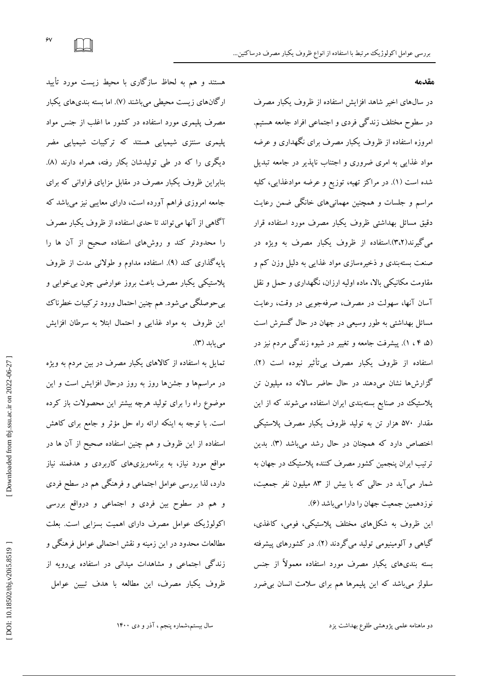در سال های اخیر شاهد افزایش استفاده از ظروف یکبار مصرف

در سطوح مختلف زندگی فردی و اجتماعی افراد جامعه هستیم.

امروزه استفاده از ظروف یکبار مصرف برای نگهداری و عرضه

مواد غذایی به امری ضروری و اجتناب نایذیر در جامعه تبدیل

شده است (۱). در مراکز تهیه، توزیع و عرضه موادغذایی، کلیه

مراسم و جلسات و همچنین مهمانیهای خانگی ضمن رعایت

دقیق مسائل بهداشتی ظروف یکبار مصرف مورد استفاده قرار

میگیرند(۳،۲).استفاده از ظروف یکبار مصرف به ویژه در

صنعت بستهبندی و ذخیرهسازی مواد غذایی به دلیل وزن کم و

مقاومت مکانیکی بالا، ماده اولیه ارزان، نگهداری و حمل و نقل

آسان آنها، سهولت در مصرف، صرفهجویی در وقت، رعایت

مسائل بهداشتی به طور وسیعی در جهان در حال گسترش است

(۵، ۴ ، ۱). پیشرفت جامعه و تغییر در شیوه زند کی مردم نیز در

استفاده از ظروف یکبار مصرف بی¢اثیر نبوده است (۲).

گزارشها نشان میدهند در حال حاضر سالانه ده میلیون تن

پلاستیک در صنایع بستهبندی ایران استفاده میشوند که از این

مقدار ۵۷۰ هزار تن به تولید ظروف یکبار مصرف پلاستیگی

اختصاص دارد که همچنان در حال رشد میباشد (۳). بدین

ترتیب ایران پنجمین کشور مصرف کننده پلاستیک در جهان به

شمار میآید در حالی که با بیش از ۸۳ میلیون نفر جمعیت،

این ظروف به شكلهای مختلف پلاستیكی، فومی، كاغذی،

کیاهی و آلومینیومی تولید می کردند (۲). در کشورهای پیشرفته

بسته بندیهای یکبار مصرف مورد استفاده معمولاً از جنس

سلولز میباشد که این پلیمرها هم برای سلامت انسان بی ضرر

**هقدهِ**

هستند و هم به لحاظ ساز کاری با محیط زیست مورد تایید ار کانهای زیست محیطی میباشند (۷). اما بسته بندیهای یکبار مصرف پلیمری مورد استفاده در کشور ما اغلب از جنس مواد پلیمری سنتزی شیمیایی هستند که ترکیبات شیمیایی مضر<br>دیگری را که در طی تولیدشان بکار رفته، همراه دارند (۸). بنابراین ظروف یکبار مصرف در مقابل مزایای فراوانی كه برای جامعه امروزی فراهم آورده است، دارای معایبی نیز میباشد كه آگاهی از آنها می تواند تا حدی استفاده از ظروف یکبار مصرف را محدودتر كند و روشهاى استفاده صحیح از آن ها را پایه گذاری کند (۹). استفاده مداوم و طولانی مدت از ظروف پلاستیکی یکبار مصرف باعث بروز عوارضی چون بیخوابی و بیحوصلگی میشود. هم چنین احتمال ورود ترکیبات خطرناک این ظروف به مواد غذایی و احتمال ابتلا به سرطان افزایش می یابد (۳).

تمایل به استفاده از کالاهای یکبار مصرف در بین مردم به ویژه در مراسمها و جشنها روز به روز درحال افزایش است و این موضوع راه را برای تولید هرچه بیشتر این محصولات باز کرده است. با توجه به اینکه ارائه راه حل مؤثر و جامع برای کاهش استفاده از این ظروف و هم چنین استفاده صحیح از آن ها در مواقع مورد نیاز، به برنامهریزیهای كاربردی و هدفمند نیاز دارد، لدا بررسی عوامل اجتماعی و فرهنگی هم در سطح فردی و هم در سطوح بین فردی و اجتماعی و درواقع بررسی اکولوژيک عوامل مصرف دارای اهميت بسزايی است. بعلت مطالعات محدود در این زمینه و نقش احتمالی عوامل فرهنگی و زندگی اجتماعی و مشاهدات میدانی در استفاده بیرویه از ظروف یکبار مصرف، این مطالعه با هدف تبیین عوامل

دو ماهنامه علمی پژوهشی طلوع بهداشت یزد نشت از دشت کبش کشور تشکیل شده کبش شماره پنجم، آذر و دی ۱۴۰۰

نوزدهمین جمعیت جهان را دارا میباشد (۴).

 $\gamma$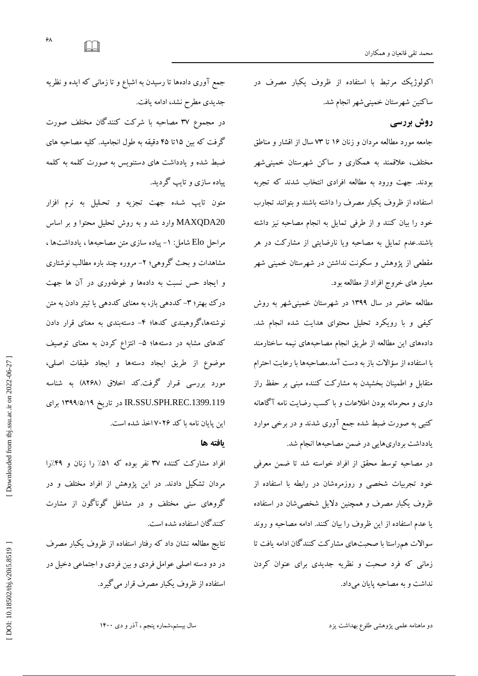اکولوژیک مرتبط با استفاده از ظروف یکبار مصرف در ساكنین شهرستان خمینیشهر انجام شد.

## **رٍش بررسی**

جامعه مورد مطالعه مردان و زنان ۱۶ تا ۷۳ سال از اقشار و مناطق مختلف، علاقمند به همکاری و ساکن شهرستان خمینی شهر بودند. جهت ورود به مطالعه افرادی انتخاب شدند که تجربه استفاده از ظروف یکبار مصرف را داشته باشند و بتوانند تجارب خود را بیان کنند و از طرفی تمایل به انجام مصاحبه نیز داشته باشند.عدم تمایل به مصاحبه ویا نارضایتی از مشارکت در هر مقطعی از یژوهش و سکونت نداشتن در شهرستان خمینی شهر معیار های خروج افراد از مطالعه بود.

مطالعه حاضر در سال ۱۳۹۹ در شهرستان خمینی شهر به روش کیفی و با رویکرد تحلیل محتوای هدایت شده انجام شد. دادههای این مطالعه از طریق انجام مصاحبههای نیمه ساختارمند با استفاده از سؤالات باز به دست آمد.مصاحبهها با رعایت احترام متقابل و اطمینان بخشیدن به مشارکت کننده مبنی بر حفظ راز داری و محرمانه بودن اطلاعات و با کسب رضایت نامه آگاهانه کتبی به صورت ضبط شده جمع آوری شدند و در برخی موارد یادداشت برداریهایی در ضمن مصاحبهها انجام شد.

در مصاحبه توسط محقق از افراد خواسته شد تا ضمن معرفی خود تجربیات شخصی و روزمرهشان در رابطه با استفاده از ظروف یکبار مصرف و همچنین دلایل شخصی شان در استفاده یا عدم استفاده از این ظروف را بیان کنند. ادامه مصاحبه و روند سوالات هم راستا با صحبتهای مشاركت كنندگان ادامه یافت تا زمانی كه فرد صحبت و نظریه جدیدی برای عنوان كردن نداشت و به مصاحبه پایان میداد.

جمع اوری دادهها تا رسیدن به اشباع و تا زمانی که ایده و نظریه جدیدی مطرح نشد، ادامه یافت.

در مجموع ٣٧ مصاحبه با شركت كنندگان مختلف صورت گرفت كه بین ۱۵تا ۴۵ دقیقه به طول انجامید. كلیه مصاحبه های ضبط شده و یادداشت های دستنویس به صورت کلمه به کلمه پیاده سازی و تایپ کردید.

متون تایپ شـده جهت تجزیه و تحـلیل به نرم افزار MAXQDA20 وارد شد و به روش تحلیل محتوا و بر اساس مراحل Elo شامل: ١- پیاده سازی متن مصاحبهها ، یادداشتها ، مشاهدات و بحث کروهی؛ ۲- مروره چند باره مطالب نوشتاری و ایجاد حس نسبت به دادهها و غوطهوری در آن ها جهت در ک بهتر؛ ٣- کددهی باز، به معنای کددهی یا تیتر دادن به متن نوشتهها، گروهبندی کدها؛ ۴– دستهبندی به معنای قرار دادن گدهای مشابه در دستهها؛ ۵– انتزاع کردن به معنای توصیف موضوع از طریق ایجاد دستهها و ایجاد طبقات اصلی،<br>ای مورد بررسی قـرار گرفت.کد اخلاق (۸۲۶۸) به شناسه<br>IR.SSU.SPH.REC.1399.119 در تاریخ ۱۳۹۹/۵/۱۹ برای این پایان نامه با کد ۷۰۲۶اخد شده است.

#### **یافتِ ّا**

افراد مشاركت كننده ٣٧ نفر بوده كه ٥١٪ را زنان و ۴٩٪را مردان تشکیل دادند. در این پژوهش از افراد مختلف و در گروهای سنی مختلف و در مشاغل گوناگون از مشارت كنندگان استفاده شده است.

نتایج مطالعه نشان داد كه رفتار استفاده از ظروف یكبار مصرف در دو دسته اصلی عوامل فردی و بین فردی و اجتماعی دخیل در استفاده از ظروف یکبار مصرف قرار می گیرد.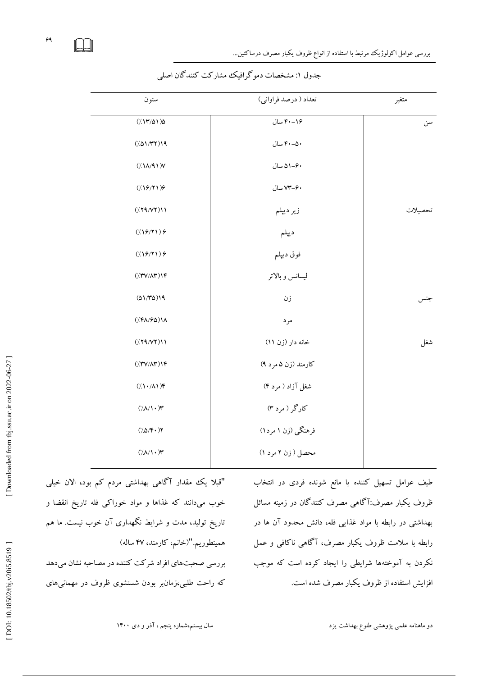$\Box$ 

| ستون                                                                         | تعداد ( درصد فراواني) | متغير   |
|------------------------------------------------------------------------------|-----------------------|---------|
| (7.17701)                                                                    | ۴۰-۴۰ سال             | سن      |
| (101/TT)                                                                     | ۴۰–۴۰ سال             |         |
| $(\Lambda/\Lambda/1)$                                                        | ۵۱-۶۰ سال             |         |
| (19/7)                                                                       | ۴۰–۷۳ سال             |         |
| (79/7)                                                                       | زير ديپلم             | تحصيلات |
| (1977)                                                                       | ديپلم                 |         |
| (19/7)                                                                       | فوق ديپلم             |         |
| $(\langle \uparrow \uparrow \lor \wedge \uparrow \rangle) \uparrow \uparrow$ | ليسانس وبالاتر        |         |
| (01/T0)19                                                                    | زن                    | جنس     |
| $(\frac{1}{2}(\sqrt{2}A)/\sqrt{2}A)$                                         | مرد                   |         |
| (79/7)                                                                       | خانه دار (زن ۱۱)      | شغل     |
| $(\langle \uparrow \uparrow \lor \land \uparrow \rangle) \uparrow \uparrow$  | کارمند (زن ۵ مرد ۹)   |         |
| $(1/\lambda)/\lambda)$ ۴                                                     | شغل آزاد ( مرد ۴)     |         |
| $(\Lambda/\Lambda) \cdot \mathcal{V}$                                        | کارگر ( مرد ۳)        |         |
| $(\Delta \rho) \mathfrak{F} \cdot \mathfrak{H}$                              | فرهنگی (زن ۱ مرد۱)    |         |
| $(\Lambda/\Lambda) \cdot \mathcal{F}$                                        | محصل ( زن ۲ مرد ۱)    |         |
|                                                                              |                       |         |

جدُّول ۱: مشخصات دمو گرافیک مشار کت کنند کان اصلی

"قبلا یک مقدار آگاهی بهداشتی مردم کم بود، الان خیلی خوب میدانند که غذاها و مواد خوراکی فله تاریخ انقضا و تاریخ تولید، مدت و شرایط نکهداری آن خوب نیست. ما هم همینطوریم."(خانم، کارمند، ۴۷ ساله) بررسی صحبتهای افراد شرکت كننده در مصاحبه نشان میدهد

دو ماهنامه علمی پژوهشی طلوع بهداشت یزد است. از دین مستقر تصمیم تقریبات استان استن استقرار استقرار دی ۱۴۰۰

طیف عوامل تسهیل کننده یا مانع شونده فردی در انتخاب

ظروف یکبار مصرف:آگاهی مصرف کنندگان در زمینه مسائل

بهداشتی در رابطه با مواد غذایی فله، دانش محدود آن ها در

رابطه با سلامت ظروف یکبار مصرف، آگاهی ناکافی و عمل

نکردن به آموختهها شرایطی را ایجاد کرده است که موجب

افزایش استفاده از ظروف یکبار مصرف شده است.

که راحت طلبی،زمانبر بودن شستشوی ظروف در مهمانیهای

 [\[ DOI: 10.18502/tbj.v20i5.8519 \]](http://dx.doi.org/10.18502/tbj.v20i5.8519 ) [\[ Downloaded from tbj.ssu.ac.ir on 2022-0](http://tbj.ssu.ac.ir/article-1-3266-fa.html)6-27 ] Downloaded from tbj.ssu.ac.ir on 2022-06-27]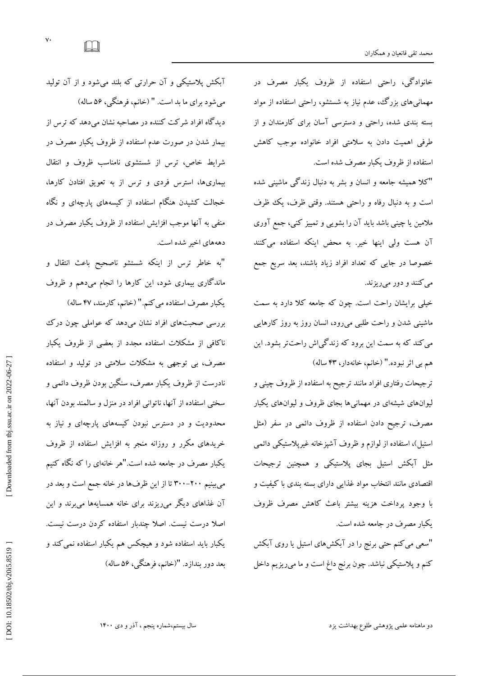بعد دور بندازد. "(خانم، فرهنگی، ۵۶ ساله)

هم بی اثر نبوده." (خانم، خانهدار، ۴۳ ساله) ترجیحات رفتاری افراد مانند ترجیح به استفاده از ظروف چینی و لیوانهای شیشهای در مهمانیها بجای ظروف و لیوانهای یکبار مصرف، ترجیح دادن استفاده از ظروف دائمی در سفر (مثل استیل)، استفاده از لوازم و ظروف آشپزخانه غیرپلاستیکی دائمی مثل آبکش استیل بجای پلاستیکی و همچنین ترجیحات اقتصادی مانند انتخاب مواد غذایی دارای بسته بندی با کیفیت و با وجود پرداخت هزینه بیشتر باعث کاهش مصرف ظروف یکبار مصرف در جامعه شده است. "سعی می کنم حتی برنج را در آبکشهای استیل یا روی آبکش

کنم و پلاستیکی نباشد. چون برنج داع است و ما میریزیم داخل

می کنند و دور میریزند. خیلی برایشان راحت است. چون که جامعه کلا دارد به سمت ماشینی شدن و راحت طلبی میرود، انسان روز به روز کارهایی می کند که به سمت این برود که زندگیاش راحتتر بشود. این

"کلا همیشه جامعه و انسان و بشر به دنبال زندگی ماشینی شده است و به دنبال رفاه و راحتی هستند. وقتی ظرف، یک ظرف ملامین یا چینی باشد باید آن را بشویی و تمییز کنی، جمع آوری آن هست ولی اینها خیر. به محض اینکه استفاده می کنند خصوصا در جایی كه تعداد افراد زیاد باشند، بعد سریع جمع

خانوادگی، راحتی استفاده از ظروف یکبار مصرف در مهمانیهای بزرگ، عدم نیاز به شستشو، راحتی استفاده از مواد بسته بندی شده، راحتی و دسترسی آسان برای کارمندان و از طرفی اهمیت دادن به سلامتی افراد خانواده موجب كاهش استفاده از ظروف یکبار مصرف شده است.

آبکش پلاستیکی و آن حرارتی که بلند میشود و از آن تولید میشود برای ما بد است. " (خانم، فرهنگی، ۵۶ ساله) دیدگاه افراد شرکت کننده در مصاحبه نشان میدهد که ترس از بیمار شدن در صورت عدم استفاده از ظروف یکبار مصرف در شرایط خاص، ترس از شستشوی نامناسب ظروف و انتقال بیماریها، استرس فردی و ترس از به تعویق افتادن كارها، خجالت کشیدن هنگام استفاده از کیسههای پارچهای و نگاه منفی به آنها موجب افزایش استفاده از ظروف یکبار مصرف در دهههای اخیر شده است.

"به خاطر ترس از اینکه شستشو ناصحیح باعث انتقال و ماند کاری بیماری شود، این کارها را انجام میدهم و ظروف یکبار مصرف استفاده می کنم." (خانم، کارمند، ۴۷ ساله)

بررسی صحبتهای افراد نشان می دهد که عواملی چون درک ناكافی از مشكلات استفاده مجدد از بعضی از ظروف یكبار مصرف، بی توجهی به مشکلات سلامتی در تولید و استفاده نادرست از ظروف یکبار مصرف، سنگین بودن ظروف دائمی و سختی استفاده از آنها، ناتوانی افراد در منزل و سالمند بودن آنها، محدودیت و در دسترس نبودن کیسههای پارچهای و نیاز به خریدهای مکرر و روزانه منجر به افزایش استفاده از ظروف<br>یکبار مصرف در جامعه شده است."هر خانهای را که نگاه کنیم میبینیم ۲۰۰–۳۰۰ تا از این ظرفها در خانه جمع است و بعد در ان غداهای دیگر میریزند برای خانه همسایهها میبرند و این اصلا درست نیست. اصلا چندبار استفاده کردن درست نیست. یکبار باید استفاده شود و هیچکس هم یکبار استفاده نمی کند و

 $\Box$ 

DOI: 10.18502/tbj.v20i5.8519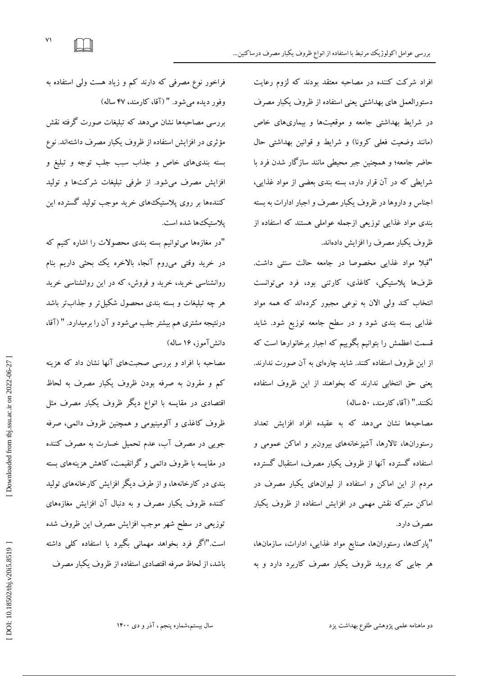افراد شركت كننده در مصاحبه معتقد بودند كه لزوم رعايت دستورالعمل های بهداشتی یعنی استفاده از ظروف یکبار مصرف در شرایط بهداشتی جامعه و موقعیتها و بیماریهای خاص (مانند وضعیت فعلی كرونا) و شرایط و قوانین بهداشتی حال حاضر جامعه؛ و همچنین جبر محیطی مانند سازگار شدن فرد با شرایطی که در آن قرار دارد، بسته بندی بعضی از مواد غذایی، اجناس و داروها در ظروف یکبار مصرف و اجبار ادارات به بسته بندی مواد غذایی توزیعی ازجمله عواملی هستند که استفاده از ظروف یکبار مصرف را افزایش دادهاند.<br>"قبلا مواد غذایی مخصوصا در جامعه حالت سنتی داشت.

ظرفها پلاستیکی، کاغدی، کارتنی بود، فرد میتوانست نتخاب کند ولی الان به نوعی مجبور کردهاند که همه مواد غدایی بسته بندی شود و در سطح جامعه توزیع شود. شاید فسمت اعظمش را بتوانیم بکوییم که اجبار برخانوارها است که از این ظروف استفاده کنند. شاید چارهای به آن صورت ندارند. یعنی حق انتخابی ندارند که بخواهند از این ظروف استفاده نكنند." (آقا، كارمند، ۵۰ ساله)

مصاحبهها نشان میدهد كه به عقیده افراد افزایش تعداد رستورانها، تالارها، آشیزخانههای بیرونبر و اماکن عمومی و استفاده گسترده آنها از ظروف یکبار مصرف، استقبال گسترده مردم از این اماکن و استفاده از لیوانهای یکبار مصرف در اماکن متبرکه نقش مهمی در افزایش استفاده از ظروف یکبار مصرف دارد.

"پارک ها، رستورانها، صنایع مواد غذایی، ادارات، سازمانها، هر جایی که بروید ظروف یکبار مصرف کاربرد دارد و به

فراخور نوع مصرفی که دارند کم و زیاد هست ولی استفاده به وفور دیده میشود. " (آقا، کارمند، ۴۷ ساله) بررسی مصاحبهها نشان میدهد که تبلیغات صورت گرفته نقش مؤثری در افزایش استفاده از ظروف یکبار مصرف داشتهاند. نوع بسته بندیهای خاص و جذاب سبب جلب توجه و تبلیغ و افزایش مصرف میشود. از طرفی تبلیغات شرکتها و تولید کنندهها بر روی پلاستیک&ای خرید موجب تولید گسترده این يلاستيك ها شده است.

"در مغازهها میتوانیم بسته بندی محصولات را اشاره کنیم که در خرید وقتی میروم انجا، بالاخره یک بحثی داریم بنام روانشناسی خرید، خرید و فروش، که در این روانشناسی خرید هر چه تبلیغات و بسته بندی محصول شکیلتر و جدابتر باشد درنتیجه مشتری هم بیشتر جلب میشود و آن را برمیدارد. " (آقا، دانش آموز، ۱۶ ساله)

مصاحبه با افراد و بررسی صحبتهای آنها نشان داد که هزینه كم و مقرون به صرفه بودن ظروف یكبار مصرف به لحاظ اقتصادی در مقایسه با انواع دیگر ظروف یکبار مصرف مثل ظروف كاغذی و آلومینیومی و همچنین ظروف دائمی، صرفه جویی در مصرف آب، عدم تحمیل خسارت به مصرف کننده در مقایسه با ظروف دائمی و گرانقیمت، کاهش هزینههای بسته بندی در کارخانهها، و از طرف دیگر افزایش کارخانههای تولید کننده ظروف یکبار مصرف و به دنبال آن افزایش مغازههای توزیعی در سطح شهر موجب افزایش مصرف این ظروف شده است."اگر فرد بخواهد مهمانی بگیرد یا استفاده کلی داشته باشد، از لحاظ صرفه اقتصادی استفاده از ظروف یکبار مصرف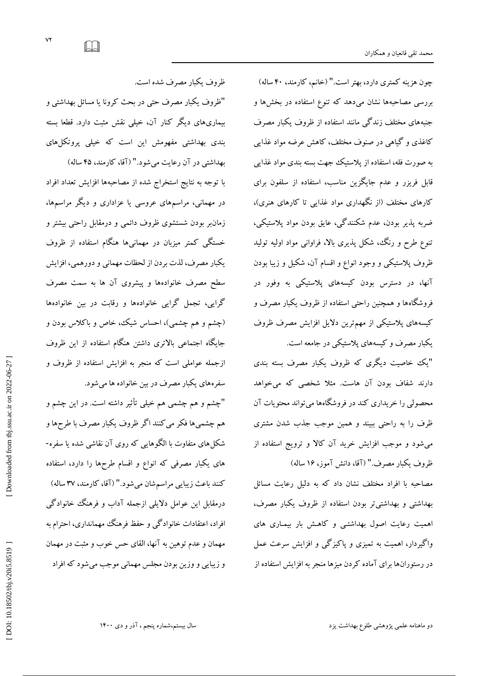چون هزینه کمتری دارد، بهتر است." (خانم، کارمند، ۴۰ ساله) بررسی مصاحبهها نشان میدهد که تنوع استفاده در بخشها و جنبههای مختلف زندگی مانند استفاده از ظروف یکبار مصرف کاغذی و کیاهی در صنوف مختلف، کاهش عرضه مواد غذایی به صورت فله، استفاده از پلاستیک جهت بسته بندی مواد غدایی فابل فریزر و عدم جایکزین مناسب، استفاده از سلفون برای كارهای مختلف (از نگهداری مواد غذایی تا كارهای هنری)، ضربه پذیر بودن، عدم شکنندگی، عایق بودن مواد پلاستیکی،<br>تنوع طرح و رنگ، شکل پذیری بالا، فراوانی مواد اولیه تولید ظروف پلاستیکی و وجود انواع و اقسام آن، شکیل و زیبا بودن آنها، در دسترس بودن كیسههای پلاستیكی به وفور در فروشگاهها و همچنین راحتی استفاده از ظروف یکبار مصرف و کیسههای پلاستیکی از مهمترین دلایل افزایش مصرف ظروف یکبار مصرف و کیسههای یلاستیکی در جامعه است.

"یک خاصیت دیگری که ظروف یکبار مصرف بسته بندی دارند شفاف بودن آن هاست. مثلا شخصی که میخواهد محصولی را خریداری كند در فروشگاهها می تواند محتویات آن ظرف را به راحتی ببیند و همین موجب جدب شدن مشتری می شود و موجب افزایش خرید آن کالا و ترویج استفاده از ظروف یکبار مصرف." (آقا، دانش آموز، ۱۶ ساله)

> مصاحبه با افراد مختلف نشان داد كه به دلیل رعایت مسائل بهداشتی و بهداشتی تر بودن استفاده از ظروف یکبار مصرف، اهمیت رعایت اصول بهداشتی و كاهش بار بیماری های واگیردار، اهمیت به تمیزی و پاکیزگی و افزایش سرعت عمل در رستوران ها برای آماده کردن میز ها منجر به افزایش استفاده از

ظروف یکبار مصرف شده است.

"ظروف یکبار مصرف حتی در بحث کرونا یا مسائل بهداشتی و بیماریهای دیگر کنار آن، خیلی نقش مثبت دارد. قطعا بسته بندی بهداشتی مفهومش این است که خیلی پروتکل های

بهداشتی در آن رعایت میشود." (آقا، کارمند، ۴۵ ساله) با توجه به نتایج استخراج شده از مصاحبهها افزایش تعداد افراد در مهمانی، مراسمهای عروسی یا عزاداری و دیگر مراسمها، زمان بودن شستشوی ظروف دائمی و درمقابل راحتی بیشتر و خستگی کمتر میزبان در مهمانیها هنگام استفاده از ظروف یکبار مصرف، لذت بردن از لحظات مهمانی و دورهمی، افزایش سطح مصرف خانوادهها و پیشروی آن ها به سمت مصرف گرایی، تجمل گرایی خانوادهها و رقابت در بین خانوادهها (چشم و هم چشمی)، احساس شیک، خاص و باکلاس بودن و جایگاه اجتماعی بالاتری داشتن هنگام استفاده از این ظروف ازجمله عواملی است كه منجر به افزایش استفاده از ظروف و سفرههای یکبار مصرف در بین خانواده ها میشود.

"چشم و هم چشمی هم خیلی تأثیر داشته است. در این چشم و هم چشمیها فکر می کنند اگر ظروف یکبار مصرف با طرحها و<br>شکل های متفاوت با الگوهایی که روی آن نقاشی شده یا سفره-های یکبار مصرفی که انواع و اقسام طرحها را دارد، استفاده کنند باعث زیبایی مراسمشان میشود." (آقا، کارمند، ۳۷ ساله) درمقابل این عوامل دلایلی ازجمله آداب و فرهنگ خانوادگی افراد، اعتقادات خانوادگی و حفظ فرهنگ مهمانداری، احترام به مهمان و عدم توهین به آنها، القای حس خوب و مثبت در مهمان و زیبایی و وزین بودن مجلس مهمانی موجب میشود که افراد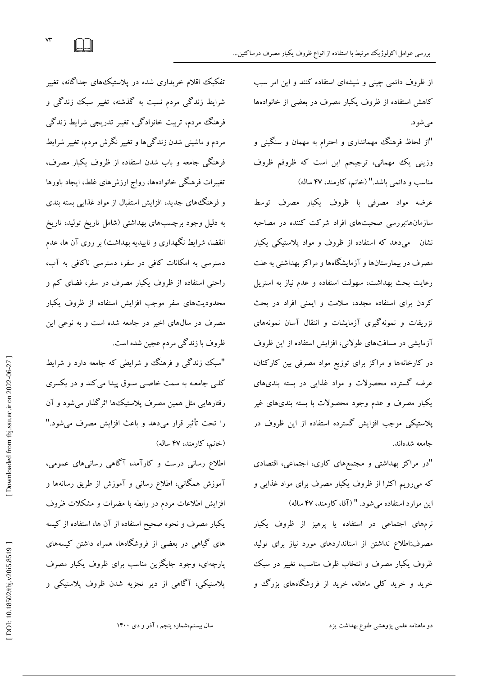از ظروف دائمی چینی و شیشهای استفاده کنند و این امر سبب کاهش استفاده از ظروف یکبار مصرف در بعضی از خانوادهها می شو د.

"از لحاظ فرهنگ مهمانداری و احترام به مهمان و سنگینی و وزینی یك مهمانی، ترجیحم این است كه ظروفم ظروف مناسب و دائمی باشد." (خانم، کارمند، ۴۷ ساله)

عرضه مواد مصرفی با ظروف یکبار مصرف توسط سازمانها:بررسی صحبتهای افراد شركت كننده در مصاحبه نشان میدهد که استفاده از ظروف و مواد پلاستیکی یکبار مصرف در بیمارستانها و آزمایشگاهها و مراکز بهداشتی به علت رعایت بحث بهداشت، سهولت استفاده و عدم نیاز به استریل کردن برای استفاده مجدد، سلامت و ایمنی افراد در بحث تزریقات و نمونه گیری آزمایشات و انتقال آسان نمونههای آزمایشی در مسافت های طولانی، افزایش استفاده از این ظروف در كارخانهها و مراكز برای توزیع مواد مصرفی بین كاركنان، عرضه گسترده محصولات و مواد غذایی در بسته بندیهای یکبار مصرف و عدم وجود محصولات با بسته بندیهای غیر پلاستیکی موجب افزایش گسترده استفاده از این ظروف در جامعه شدهاند.

"در مراکز بهداشتی و مجتمعهای کاری، اجتماعی، اقتصادی که میرویم اکثراً از ظروف یکبار مصرف برای مواد غدایی و این موارد استفاده میشود. " (آقا، کارمند، ۴۷ ساله)

نرمهای اجتماعی در استفاده یا پرهیز از ظروف یکبار مصرف:اطلاع نداشتن از استانداردهای مورد نیاز برای تولید ظروف یکبار مصرف و انتخاب ظرف مناسب، تغییر در سبک خرید و خرید کلی ماهانه، خرید از فروشگاههای بزرگ و

تفکیک اقلام خریداری شده در پلاستیک&ای جداگانه، تغییر شرایط زندگی مردم نسبت به گذشته، تغییر سبک زندگی و فرهنگ مردم، تربیت خانوادگی، تغییر تدریجی شرایط زندگی مردم و ماشینی شدن زندگیها و تغییر نگرش مردم، تغییر شرایط فرهنگی جامعه و باب شدن استفاده از ظروف یکبار مصرف، تغییرات فرهنگی خانوادهها، رواج ارزشهای غلط، ایجاد باورها و فرهنگ های جدید، افزایش استقبال از مواد غذایی بسته بندی به دلیل وجود برچسبهای بهداشتی (شامل تاریخ تولید، تاریخ انقضا، شرایط نگهداری و تاییدیه بهداشت) بر روی آن ها، عدم دسترسی به امکانات کافی در سفر، دسترسی ناکافی به آب، راحتی استفاده از ظروف یکبار مصرف در سفر، فضای کم و محدودیتهای سفر موجب افزایش استفاده از ظروف یکبار مصرف در سالهای اخیر در جامعه شده است و به نوعی این ظروف با زندگی مردم عجین شده است.

"سبک زندگی و فرهنگ و شرایطی که جامعه دارد و شرایط کلی جامعـه به سمت خاصـی سـوف پیدا می کند و در یکسری رفتارهایی مثل همین مصرف پلاستیک۵ها اثرگذار میشود و آن<br>را تحت تأثیر قرار میدهد و باعث افزایش مصرف می،شود." (خانم، كارمند، ۴۷ ساله)

اطلاع رسانی درست و کارآمد، آگاهی رسانیهای عمومی، آموزش همگانی، اطلاع رسانی و آموزش از طریق رسانهها و افزایش اطلاعات مردم در رابطه با مضرات و مشکلات ظروف یکبار مصرف و نحوه صحیح استفاده از آن ها، استفاده از كیسه های گیاهی در بعضی از فروشگاهها، همراه داشتن كیسههای پارچهای، وجود جایگزین مناسب برای ظروف یکبار مصرف پلاستیکی، آگاهی از دیر تجزیه شدن ظروف پلاستیکی و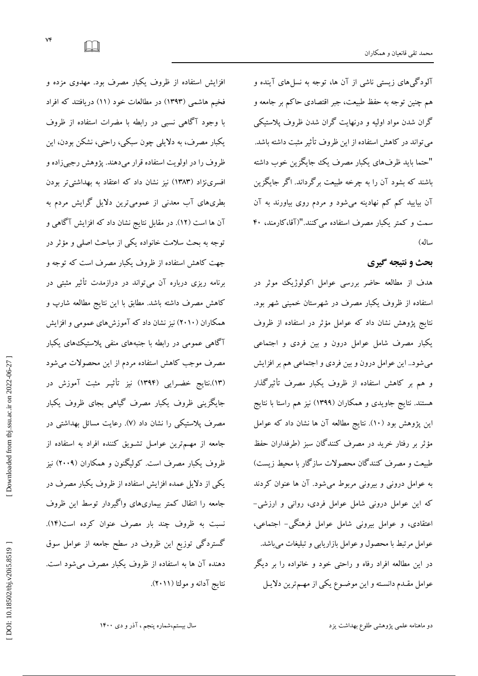آلودگیهای زیستی ناشی از آن ها، توجه به نسلهای آینده و هم چنین توجه به حفظ طبیعت، جبر اقتصادی حاکم بر جامعه و گران شدن مواد اولیه و درنهایت گران شدن ظروف پلاستیکی می تواند در کاهش استفاده از این ظروف تأثیر مثبت داشته باشد. "حتما باید ظرفهای یکبار مصرف یک جایگزین خوب داشته باشند که بشود آن را به چرخه طبیعت برگرداند. اگر جایگزین آن بیایید کم کم نهادینه میشود و مردم روی بیاورند به آن سمت و کمتر یکبار مصرف استفاده میکنند."(آقا،کارمند، ۴۰ ساله)

# **بحث ٍ ًتیجِ گیری**

هدف از مطالعه حاضر بررسی عوامل اکولوژیک موثر در استفاده از ظروف یکبار مصرف در شهرستان خمینی شهر بود. نتایج یژوهش نشان داد که عوامل مؤثر در استفاده از ظروف یکبار مصرف شامل عوامل درون و بین فردی و اجتماعی می شود.. این عوامل درون و بین فردی و اجتماعی هم بر افزایش و هم بر کاهش استفاده از ظروف یکبار مصرف تأثیرگذار هستند. نتایج جاویدی و همکاران (۱۳۹۹) نیز هم راستا با نتایج این پژوهش بود (١٠). نتایج مطالعه آن ها نشان داد که عوامل مؤثر بر رفتار خرید در مصرف كنندگان سبز (طرفداران حفظ طبیعت و مصرف کنندگان محصولات سازگار با محیط زیست) به عوامل درونی و بیرونی مربوط میشود. آن ها عنوان کردند<br>که این عوامل درونی شامل عوامل فردی، روانی و ارزشی-عتقادی، و عوامل بیرونی شامل عوامل فرهنگی– اجتماعی، عوامل مرتبط با محصول و عوامل بازاریابی و تبلیغات میباشد. در این مطالعه افراد رفاه و راحتی خود و خانواده را بر دیگر عوامل مقــدم دانســته و این موضــوع یکی از مهــمترین دلایــل

افزایش استفاده از ظروف یکبار مصرف بود. مهدوی مزده و فخیم هاشمی (۱۳۹۳) در مطالعات خود (۱۱) دریافتند كه افراد با وجود آگاهی نسبی در رابطه با مضرات استفاده از ظروف یکبار مصرف، به دلایلی چون سبکی، راحتی، نشکن بودن، این ظروف را در اولویت استفاده قرار میدهند. یژوهش رجبی زاده و افسرینژاد (١٣٨٣) نیز نشان داد که اعتقاد به بهداشتیتر بودن بطریهای آب معدنی از عمومیترین دلایل گرایش مردم به آن ها است (١٢). در مقابل نتایج نشان داد که افزایش آگاهی و توجه به بحث سلامت خانواده یکی از مباحث اصلی و مؤثر در جهت کاهش استفاده از ظروف یکبار مصرف است که توجه و برنامه ریزی درباره آن میتواند در درازمدت تأثیر مثبتی در كاهش مصرف داشته باشد. مطابق با این نتایج مطالعه شارپ و همکاران (۲۰۱۰) نیز نشان داد که آموزشهای عمومی و افزایش آگاهی عمومی در رابطه با جنبههای منفی پلاستیک&ای یکبار مصرف موجب کاهش استفاده مردم از این محصولات میشود (۱۳).نتایج خضـرایی (۱۳۹۴) نیز تاثیـر مثبت اموزش در جایگزینی ظروف یکبار مصرف گیاهی بجای ظروف یکبار مصرف پلاستیکی را نشان داد (۷). رعایت مسائل بهداشتی در جامعه از مهـمترین عوامـل تشـویق کننده افراد به استفاده از ظروف یکبار مصرف است. کولیگنون و همکاران (۲۰۰۹) نیز یکی از دلایل عمده افزایش استفاده از ظروف یکبار مصرف در جامعه را انتقال کمتر بیماریهای واگیردار توسط این ظروف نسبت به ظروف چند بار مصرف عنوان کرده است(۱۴). گستردگی توزیع این ظروف در سطح جامعه از عوامل سوق دهنده آن ها به استفاده از ظروف یکبار مصرف میشود است. نتایج آدانه و مولتا (۲۰۱۱).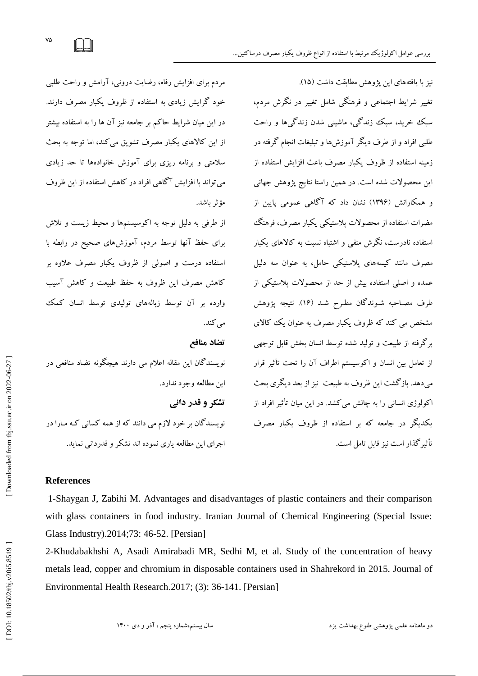نیز با یافتههای این یژوهش مطابقت داشت (١۵). تغییر شرایط اجتماعی و فرهنگی شامل تغییر در نگرش مردم، سبک خرید، سبک زندگی، ماشینی شدن زندگیها و راحت طلب افراد و از طرف دیگر آموزش ها و تبلیغات انجام گرفته در زمینه استفاده از ظروف یکبار مصرف باعث افزایش استفاده از این محصولات شده است. در همین راستا نتایج پژوهش جهانی و همکارانش (۱۳۹۶) نشان داد که آگاهی عمومی پایین از مضرات استفاده از محصولات یلاستیکی یکبار مصرف، فرهنگک استفاده نادرست، نگرش منفی و اشتباه نسبت به کالاهای یکبار .<br>مصرف مانند کیسههای پلاستیکی حامل، به عنوان سه دلیل عمده و اصلی استفاده بیش از حد از محصولات یلاستیکی از طرف مصـاحبه شـوندگان مطـرح شـد (١۶). نتيجه پژوهش مشخص می کند که ظروف یکبار مصرف به عنوان یک کالای بر گرفته از طبیعت و تولید شده توسط انسان بخش قابل توجهی از تعامل بین انسان و اکوسیستم اطراف آن را تحت تأثیر قرار میدهد. بازگشت این ظروف به طبیعت ً نیز از بعد دیگری بحث اکولوژی انسانی را به چالش میکشد. در این میان تأثیر افراد از یکدیگر در جامعه که بر استفاده از ظروف یکبار مصرف تأثیر گذار است نبز قامل تامل است.

مردم برای افزایش رفاه، رضایت درونی، آرامش و راحت طلبی خود گرایش زیادی به استفاده از ظروف یکبار مصرف دارند. در این میان شرایط حاکم بر جامعه نیز آن ها را به استفاده بیشتر از این کالاهای یکبار مصرف تشویق می کند، اما توجه به بحث سلامتی و برنامه ریزی برای آموزش خانوادهها تا حد زیادی می تواند با افزایش آگاهی افراد در كاهش استفاده از این ظروف مؤثر باشد.

از طرفی به دلیل توجه به اكوسیستمها و محیط زیست و تلاش برای حفظ آنها توسط مردم، آموزشهای صحیح در رابطه با استفاده درست و اصولی از ظروف یکبار مصرف علاوه بر کاهش مصرف این ظروف به حفظ طبیعت و کاهش آسیب وارده بر آن توسط زبالههای تولیدی توسط انسان کمک می کند.

**تضاد هٌافع** 

نویسندگان این مقاله اعلام می دارند هیچگونه تضاد منافعی در این مطالعه وجود ندارد. **تشکر ٍ قدر داًی** نویسندگان بر خود لازم می دانند که از همه کسانی کـه مـارا در اجرای این مطالعه یاری نموده اند تشکر و قدردانی نماید.

## **References**

1-Shaygan J, Zabihi M. Advantages and disadvantages of plastic containers and their comparison with glass containers in food industry. Iranian Journal of Chemical Engineering (Special Issue: Glass Industry) .2014;73: 46 -52. [Persian]

2 -Khudabakhshi A, Asadi Amirabadi MR, Sedhi M, et al. Study of the concentration of heavy metals lead, copper and chromium in disposable containers used in Shahrekord in 2015. Journal of Environmental Health Research. 2017; (3): 36-141. [Persian]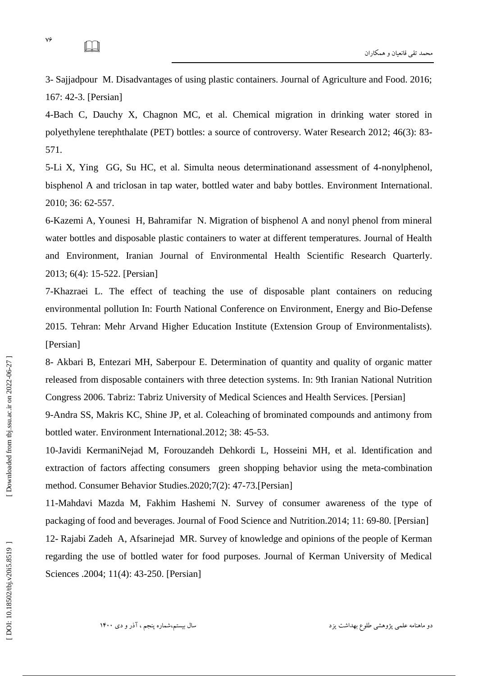3 - Sajjadpour M. Disadvantages of using plastic containers. Journal of Agriculture and Food. 2016; 167: 42 -3. [Persian]

4 -Bach C, Dauchy X, Chagnon MC, et al. Chemical migration in drinking water stored in polyethylene terephthalate (PET) bottles: a source of controversy. Water Research 2012; 46(3): 83 - 571.

5-Li X, Ying GG, Su HC, et al. Simulta neous determinationand assessment of 4 -nonylphenol, bisphenol A and triclosan in tap water, bottled water and baby bottles. Environment International . 2010; 36: 62 -557.

6 -Kazemi A, Younesi H, Bahramifar N. Migration of bisphenol A and nonyl phenol from mineral water bottles and disposable plastic containers to water at different temperatures. Journal of Health and Environment, Iranian Journal of Environmental Health Scientific Research Quarterly. 2013; 6(4): 15 -522. [Persian]

7 -Khazraei L. The effect of teaching the use of disposable plant containers on reducing environmental pollution In: Fourth National Conference on Environment, Energy and Bio -Defense 2015. Tehran: Mehr Arvand Higher Education Institute (Extension Group of Environmentalists). [Persian]

8- Akbari B, Entezari MH, Saberpour E. Determination of quantity and quality of organic matter released from disposable containers with three detection systems. In: 9th Iranian National Nutrition Congress 2006. Tabriz: Tabriz University of Medical Sciences and Health Services. [Persian]

9-Andra SS, Makris KC, Shine JP, et al. Coleaching of brominated compounds and antimony from bottled water. Environment International .2012; 38: 45 -53.

10 -Javidi KermaniNejad M, Forouzandeh Dehkordi L, Hosseini MH, et al. Identification and extraction of factors affecting consumers green shopping behavior using the meta -combination method. Consumer Behavior Studies.2020;7(2): 47 -73.[Persian]

11 -Mahdavi Mazda M, Fakhim Hashemi N. Survey of consumer awareness of the type of packaging of food and beverages. Journal of Food Science and Nutrition.2014; 11: 69-80. [Persian] 12 - Rajabi Zadeh A, Afsarinejad MR. Survey of knowledge and opinions of the people of Kerman regarding the use of bottled water for food purposes. Journal of Kerman University of Medical Sciences .2004; 11(4): 43 -250. [Persian]